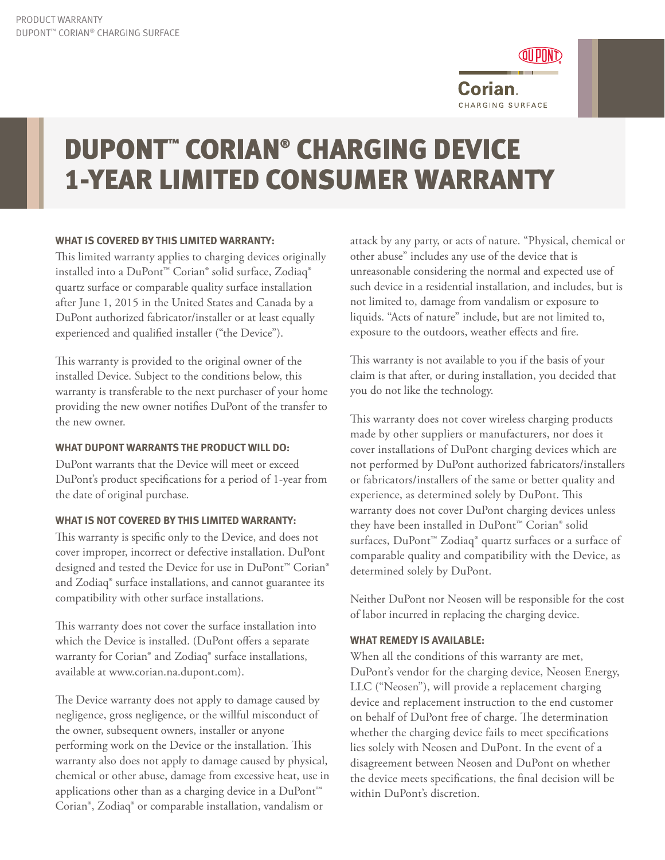

# DUPONT™ CORIAN® CHARGING DEVICE 1-YEAR LIMITED CONSUMER WARRANTY

## **WHAT IS COVERED BY THIS LIMITED WARRANTY:**

This limited warranty applies to charging devices originally installed into a DuPont™ Corian® solid surface, Zodiaq® quartz surface or comparable quality surface installation after June 1, 2015 in the United States and Canada by a DuPont authorized fabricator/installer or at least equally experienced and qualified installer ("the Device").

This warranty is provided to the original owner of the installed Device. Subject to the conditions below, this warranty is transferable to the next purchaser of your home providing the new owner notifies DuPont of the transfer to the new owner.

## **WHAT DUPONT WARRANTS THE PRODUCT WILL DO:**

DuPont warrants that the Device will meet or exceed DuPont's product specifications for a period of 1-year from the date of original purchase.

## **WHAT IS NOT COVERED BY THIS LIMITED WARRANTY:**

This warranty is specific only to the Device, and does not cover improper, incorrect or defective installation. DuPont designed and tested the Device for use in DuPont<sup>™</sup> Corian® and Zodiaq® surface installations, and cannot guarantee its compatibility with other surface installations.

This warranty does not cover the surface installation into which the Device is installed. (DuPont offers a separate warranty for Corian® and Zodiaq® surface installations, available at www.corian.na.dupont.com).

The Device warranty does not apply to damage caused by negligence, gross negligence, or the willful misconduct of the owner, subsequent owners, installer or anyone performing work on the Device or the installation. This warranty also does not apply to damage caused by physical, chemical or other abuse, damage from excessive heat, use in applications other than as a charging device in a DuPont<sup>™</sup> Corian®, Zodiaq® or comparable installation, vandalism or

attack by any party, or acts of nature. "Physical, chemical or other abuse" includes any use of the device that is unreasonable considering the normal and expected use of such device in a residential installation, and includes, but is not limited to, damage from vandalism or exposure to liquids. "Acts of nature" include, but are not limited to, exposure to the outdoors, weather effects and fire.

This warranty is not available to you if the basis of your claim is that after, or during installation, you decided that you do not like the technology.

This warranty does not cover wireless charging products made by other suppliers or manufacturers, nor does it cover installations of DuPont charging devices which are not performed by DuPont authorized fabricators/installers or fabricators/installers of the same or better quality and experience, as determined solely by DuPont. This warranty does not cover DuPont charging devices unless they have been installed in DuPont™ Corian® solid surfaces, DuPont<sup>™</sup> Zodiaq<sup>®</sup> quartz surfaces or a surface of comparable quality and compatibility with the Device, as determined solely by DuPont.

Neither DuPont nor Neosen will be responsible for the cost of labor incurred in replacing the charging device.

## **WHAT REMEDY IS AVAILABLE:**

When all the conditions of this warranty are met, DuPont's vendor for the charging device, Neosen Energy, LLC ("Neosen"), will provide a replacement charging device and replacement instruction to the end customer on behalf of DuPont free of charge. The determination whether the charging device fails to meet specifications lies solely with Neosen and DuPont. In the event of a disagreement between Neosen and DuPont on whether the device meets specifications, the final decision will be within DuPont's discretion.